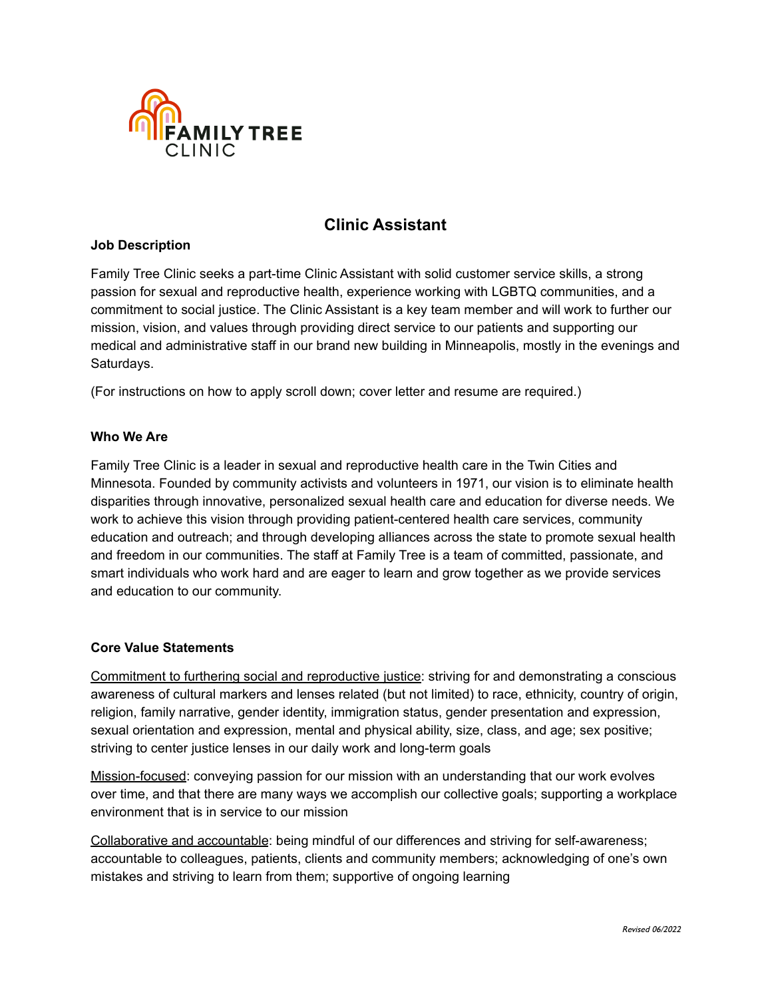

# **Clinic Assistant**

#### **Job Description**

Family Tree Clinic seeks a part-time Clinic Assistant with solid customer service skills, a strong passion for sexual and reproductive health, experience working with LGBTQ communities, and a commitment to social justice. The Clinic Assistant is a key team member and will work to further our mission, vision, and values through providing direct service to our patients and supporting our medical and administrative staff in our brand new building in Minneapolis, mostly in the evenings and Saturdays.

(For instructions on how to apply scroll down; cover letter and resume are required.)

### **Who We Are**

Family Tree Clinic is a leader in sexual and reproductive health care in the Twin Cities and Minnesota. Founded by community activists and volunteers in 1971, our vision is to eliminate health disparities through innovative, personalized sexual health care and education for diverse needs. We work to achieve this vision through providing patient-centered health care services, community education and outreach; and through developing alliances across the state to promote sexual health and freedom in our communities. The staff at Family Tree is a team of committed, passionate, and smart individuals who work hard and are eager to learn and grow together as we provide services and education to our community.

### **Core Value Statements**

Commitment to furthering social and reproductive justice: striving for and demonstrating a conscious awareness of cultural markers and lenses related (but not limited) to race, ethnicity, country of origin, religion, family narrative, gender identity, immigration status, gender presentation and expression, sexual orientation and expression, mental and physical ability, size, class, and age; sex positive; striving to center justice lenses in our daily work and long-term goals

Mission-focused: conveying passion for our mission with an understanding that our work evolves over time, and that there are many ways we accomplish our collective goals; supporting a workplace environment that is in service to our mission

Collaborative and accountable: being mindful of our differences and striving for self-awareness; accountable to colleagues, patients, clients and community members; acknowledging of one's own mistakes and striving to learn from them; supportive of ongoing learning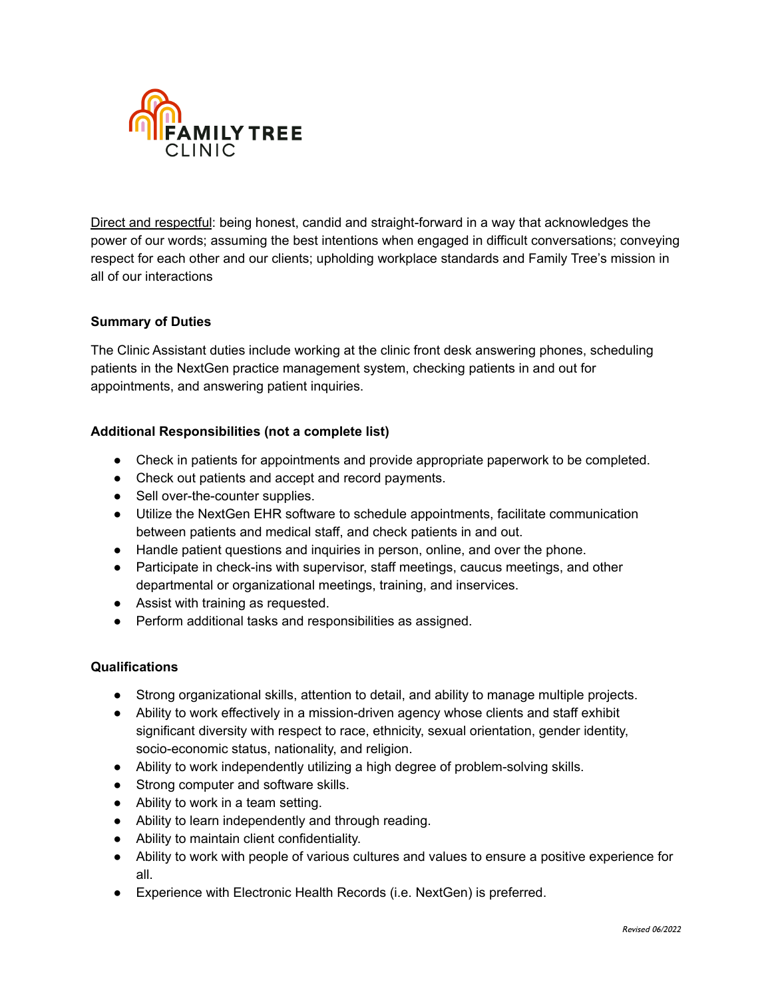

Direct and respectful: being honest, candid and straight-forward in a way that acknowledges the power of our words; assuming the best intentions when engaged in difficult conversations; conveying respect for each other and our clients; upholding workplace standards and Family Tree's mission in all of our interactions

## **Summary of Duties**

The Clinic Assistant duties include working at the clinic front desk answering phones, scheduling patients in the NextGen practice management system, checking patients in and out for appointments, and answering patient inquiries.

### **Additional Responsibilities (not a complete list)**

- Check in patients for appointments and provide appropriate paperwork to be completed.
- Check out patients and accept and record payments.
- Sell over-the-counter supplies.
- Utilize the NextGen EHR software to schedule appointments, facilitate communication between patients and medical staff, and check patients in and out.
- Handle patient questions and inquiries in person, online, and over the phone.
- Participate in check-ins with supervisor, staff meetings, caucus meetings, and other departmental or organizational meetings, training, and inservices.
- Assist with training as requested.
- Perform additional tasks and responsibilities as assigned.

### **Qualifications**

- Strong organizational skills, attention to detail, and ability to manage multiple projects.
- Ability to work effectively in a mission-driven agency whose clients and staff exhibit significant diversity with respect to race, ethnicity, sexual orientation, gender identity, socio-economic status, nationality, and religion.
- Ability to work independently utilizing a high degree of problem-solving skills.
- Strong computer and software skills.
- Ability to work in a team setting.
- Ability to learn independently and through reading.
- Ability to maintain client confidentiality.
- Ability to work with people of various cultures and values to ensure a positive experience for all.
- Experience with Electronic Health Records (i.e. NextGen) is preferred.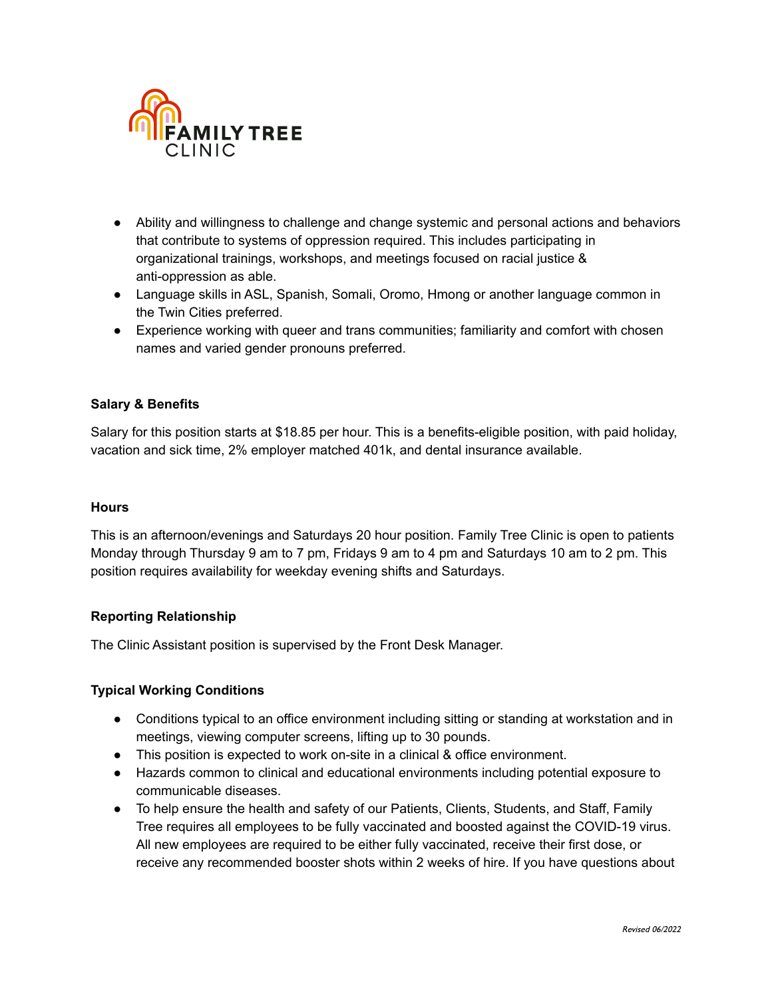

- Ability and willingness to challenge and change systemic and personal actions and behaviors that contribute to systems of oppression required. This includes participating in organizational trainings, workshops, and meetings focused on racial justice & anti-oppression as able.
- Language skills in ASL, Spanish, Somali, Oromo, Hmong or another language common in the Twin Cities preferred.
- Experience working with queer and trans communities; familiarity and comfort with chosen names and varied gender pronouns preferred.

## **Salary & Benefits**

Salary for this position starts at \$18.85 per hour. This is a benefits-eligible position, with paid holiday, vacation and sick time, 2% employer matched 401k, and dental insurance available.

### **Hours**

This is an afternoon/evenings and Saturdays 20 hour position. Family Tree Clinic is open to patients Monday through Thursday 9 am to 7 pm, Fridays 9 am to 4 pm and Saturdays 10 am to 2 pm. This position requires availability for weekday evening shifts and Saturdays.

### **Reporting Relationship**

The Clinic Assistant position is supervised by the Front Desk Manager.

### **Typical Working Conditions**

- Conditions typical to an office environment including sitting or standing at workstation and in meetings, viewing computer screens, lifting up to 30 pounds.
- This position is expected to work on-site in a clinical & office environment.
- Hazards common to clinical and educational environments including potential exposure to communicable diseases.
- To help ensure the health and safety of our Patients, Clients, Students, and Staff, Family Tree requires all employees to be fully vaccinated and boosted against the COVID-19 virus. All new employees are required to be either fully vaccinated, receive their first dose, or receive any recommended booster shots within 2 weeks of hire. If you have questions about